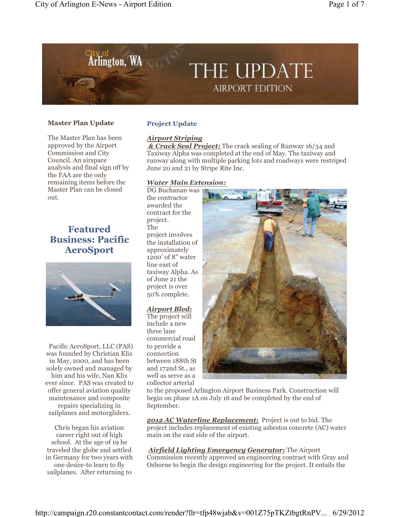

### **Master Plan Update**

The Master Plan has been approved by the Airport Commission and City Council. An airspace analysis and final sign off by the FAA are the only remaining items before the Master Plan can be closed out.

## **Featured Business: Pacific AeroSport**



Pacific AeroSport, LLC (PAS) was founded by Christian Klix in May, 2000, and has been solely owned and managed by him and his wife, Nan Klix ever since. PAS was created to offer general aviation quality maintenance and composite repairs specializing in sailplanes and motorgliders.

Chris began his aviation career right out of high school. At the age of 19 he traveled the globe and settled in Germany for two years with one desire-to learn to fly sailplanes. After returning to

### **Project Update**

### *Airport Striping*

 *& Crack Seal Project:* The crack sealing of Runway 16/34 and Taxiway Alpha was completed at the end of May. The taxiway and runway along with multiple parking lots and roadways were restriped June 20 and 21 by Stripe Rite Inc.

### *Water Main Extension:*

DG Buchanan was the contractor awarded the contract for the project. The project involves the installation of approximately 1200' of 8" water line east of taxiway Alpha. As of June 21 the project is over 50% complete.

### *Airport Blvd:*

The project will include a new three lane commercial road to provide a connection between 188th St and 172nd St., as well as serve as a collector arterial



to the proposed Arlington Airport Business Park. Construction will begin on phase 1A on July 16 and be completed by the end of September.

*2012 AC Waterline Replacement:* Project is out to bid. The project includes replacement of existing asbestos concrete (AC) water main on the east side of the airport.

*Airfield Lighting Emergency Generator:* The Airport Commission recently approved an engineering contract with Gray and Osborne to begin the design engineering for the project. It entails the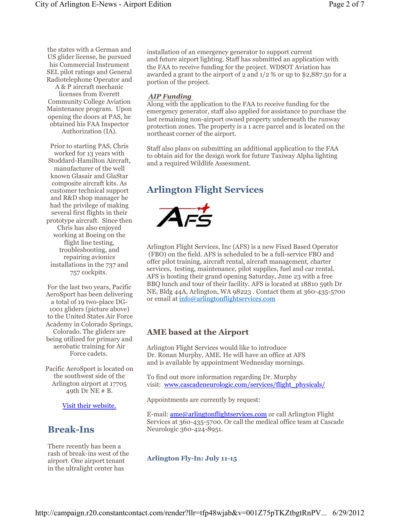the states with a German and US glider license, he pursued his Commercial Instrument SEL pilot ratings and General Radiotelephone Operator and A & P aircraft mechanic

licenses from Everett Community College Aviation Maintenance program. Upon opening the doors at PAS, he obtained his FAA Inspector Authorization (IA).

Prior to starting PAS, Chris worked for 13 years with Stoddard-Hamilton Aircraft, manufacturer of the well known Glasair and GlaStar composite aircraft kits. As customer technical support and R&D shop manager he had the privilege of making several first flights in their prototype aircraft. Since then Chris has also enjoyed working at Boeing on the flight line testing, troubleshooting, and repairing avionics installations in the 737 and 757 cockpits.

For the last two years, Pacific AeroSport has been delivering a total of 19 two-place DG-1001 gliders (picture above) to the United States Air Force Academy in Colorado Springs, Colorado. The gliders are being utilized for primary and aerobatic training for Air Force cadets.

Pacific AeroSport is located on the southwest side of the Arlington airport at 17705 49th Dr NE # B.

Visit their website.

### **Break-Ins**

There recently has been a rash of break-ins west of the airport. One airport tenant in the ultralight center has

installation of an emergency generator to support current and future airport lighting. Staff has submitted an application with the FAA to receive funding for the project. WDSOT Aviation has awarded a grant to the airport of 2 and 1/2 % or up to \$2,887.50 for a portion of the project.

### *AIP Funding*

Along with the application to the FAA to receive funding for the emergency generator, staff also applied for assistance to purchase the last remaining non-airport owned property underneath the runway protection zones. The property is a 1 acre parcel and is located on the northeast corner of the airport.

Staff also plans on submitting an additional application to the FAA to obtain aid for the design work for future Taxiway Alpha lighting and a required Wildlife Assessment.

# **Arlington Flight Services**



Arlington Flight Services, Inc (AFS) is a new Fixed Based Operator (FBO) on the field. AFS is scheduled to be a full-service FBO and offer pilot training, aircraft rental, aircraft management, charter services, testing, maintenance, pilot supplies, fuel and car rental. AFS is hosting their grand opening Saturday, June 23 with a free BBQ lunch and tour of their facility. AFS is located at 18810 59th Dr NE, Bldg 44A, Arlington, WA 98223 . Contact them at 360-435-5700 or email at info@arlingtonflightservices.com

### **AME based at the Airport**

Arlington Flight Services would like to introduce Dr. Ronan Murphy, AME. He will have an office at AFS and is available by appointment Wednesday mornings.

To find out more information regarding Dr. Murphy visit: www.cascadeneurologic.com/services/flight\_physicals/

Appointments are currently by request:

E-mail: <u>ame@arlingtonflightservices.com</u> or call Arlington Flight Services at 360-435-5700. Or call the medical office team at Cascade Neurologic 360-424-8951.

### **Arlington Fly-In: July 11-15**

http://campaign.r20.constantcontact.com/render?llr=tfp48wjab&v=001Z75pTKZtbgtRnPV... 6/29/2012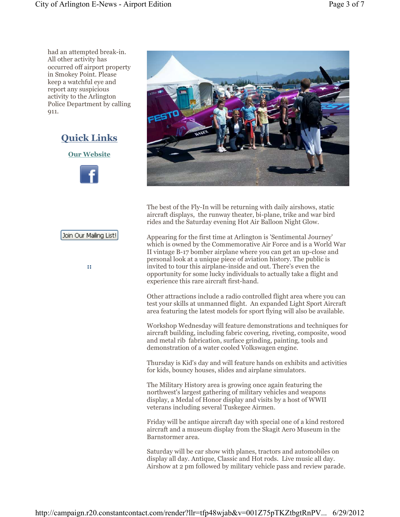had an attempted break-in. All other activity has occurred off airport property in Smokey Point. Please keep a watchful eye and report any suspicious activity to the Arlington Police Department by calling 911.



**Our Website**



## Join Our Mailing List!

**::** 



The best of the Fly-In will be returning with daily airshows, static aircraft displays, the runway theater, bi-plane, trike and war bird rides and the Saturday evening Hot Air Balloon Night Glow.

Appearing for the first time at Arlington is 'Sentimental Journey' which is owned by the Commemorative Air Force and is a World War II vintage B-17 bomber airplane where you can get an up-close and personal look at a unique piece of aviation history. The public is invited to tour this airplane-inside and out. There's even the opportunity for some lucky individuals to actually take a flight and experience this rare aircraft first-hand.

Other attractions include a radio controlled flight area where you can test your skills at unmanned flight. An expanded Light Sport Aircraft area featuring the latest models for sport flying will also be available.

Workshop Wednesday will feature demonstrations and techniques for aircraft building, including fabric covering, riveting, composite, wood and metal rib fabrication, surface grinding, painting, tools and demonstration of a water cooled Volkswagen engine.

Thursday is Kid's day and will feature hands on exhibits and activities for kids, bouncy houses, slides and airplane simulators.

The Military History area is growing once again featuring the northwest's largest gathering of military vehicles and weapons display, a Medal of Honor display and visits by a host of WWII veterans including several Tuskegee Airmen.

Friday will be antique aircraft day with special one of a kind restored aircraft and a museum display from the Skagit Aero Museum in the Barnstormer area.

Saturday will be car show with planes, tractors and automobiles on display all day. Antique, Classic and Hot rods. Live music all day. Airshow at 2 pm followed by military vehicle pass and review parade.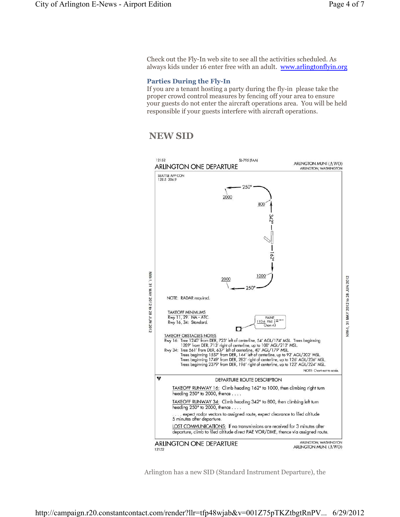Check out the Fly-In web site to see all the activities scheduled. As always kids under 16 enter free with an adult. www.arlingtonflyin.org

### **Parties During the Fly-In**

If you are a tenant hosting a party during the fly-in please take the proper crowd control measures by fencing off your area to ensure your guests do not enter the aircraft operations area. You will be held responsible if your guests interfere with aircraft operations.

## **NEW SID**



Arlington has a new SID (Standard Instrument Departure), the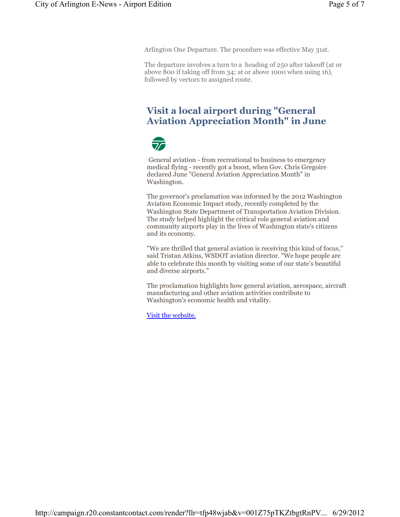Arlington One Departure. The procedure was effective May 31st.

The departure involves a turn to a heading of 250 after takeoff (at or above 800 if taking off from 34; at or above 1000 when using 16), followed by vectors to assigned route.

## **Visit a local airport during "General Aviation Appreciation Month" in June**



General aviation - from recreational to business to emergency medical flying - recently got a boost, when Gov. Chris Gregoire declared June "General Aviation Appreciation Month" in Washington.

The governor's proclamation was informed by the 2012 Washington Aviation Economic Impact study, recently completed by the Washington State Department of Transportation Aviation Division. The study helped highlight the critical role general aviation and community airports play in the lives of Washington state's citizens and its economy.

"We are thrilled that general aviation is receiving this kind of focus," said Tristan Atkins, WSDOT aviation director. "We hope people are able to celebrate this month by visiting some of our state's beautiful and diverse airports."

The proclamation highlights how general aviation, aerospace, aircraft manufacturing and other aviation activities contribute to Washington's economic health and vitality.

Visit the website.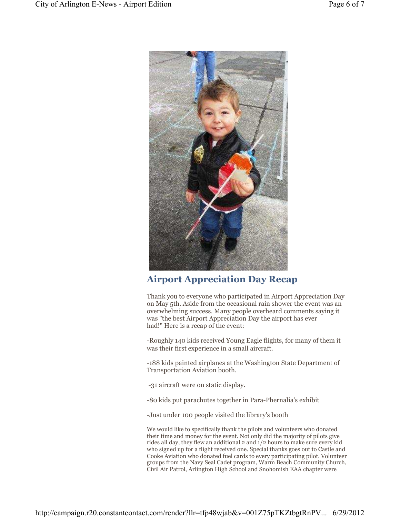

## **Airport Appreciation Day Recap**

Thank you to everyone who participated in Airport Appreciation Day on May 5th. Aside from the occasional rain shower the event was an overwhelming success. Many people overheard comments saying it was "the best Airport Appreciation Day the airport has ever had!" Here is a recap of the event:

-Roughly 140 kids received Young Eagle flights, for many of them it was their first experience in a small aircraft.

-188 kids painted airplanes at the Washington State Department of Transportation Aviation booth.

-31 aircraft were on static display.

-80 kids put parachutes together in Para-Phernalia's exhibit

-Just under 100 people visited the library's booth

We would like to specifically thank the pilots and volunteers who donated their time and money for the event. Not only did the majority of pilots give rides all day, they flew an additional 2 and 1/2 hours to make sure every kid who signed up for a flight received one. Special thanks goes out to Castle and Cooke Aviation who donated fuel cards to every participating pilot. Volunteer groups from the Navy Seal Cadet program, Warm Beach Community Church, Civil Air Patrol, Arlington High School and Snohomish EAA chapter were